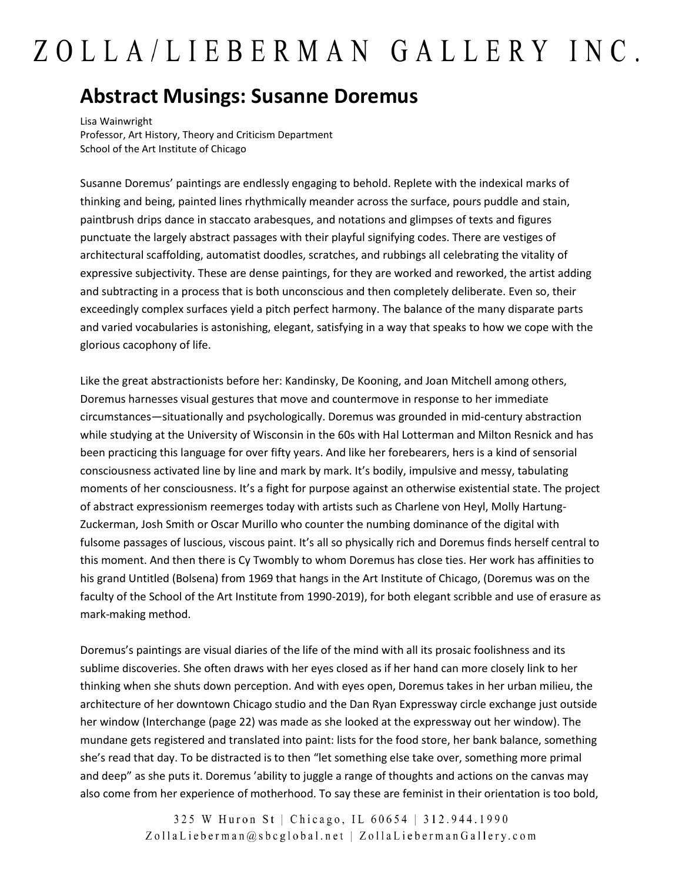## ZOLLA/LIEBERMAN GALLERY INC.

## **Abstract Musings: Susanne Doremus**

Lisa Wainwright Professor, Art History, Theory and Criticism Department School of the Art Institute of Chicago

Susanne Doremus' paintings are endlessly engaging to behold. Replete with the indexical marks of thinking and being, painted lines rhythmically meander across the surface, pours puddle and stain, paintbrush drips dance in staccato arabesques, and notations and glimpses of texts and figures punctuate the largely abstract passages with their playful signifying codes. There are vestiges of architectural scaffolding, automatist doodles, scratches, and rubbings all celebrating the vitality of expressive subjectivity. These are dense paintings, for they are worked and reworked, the artist adding and subtracting in a process that is both unconscious and then completely deliberate. Even so, their exceedingly complex surfaces yield a pitch perfect harmony. The balance of the many disparate parts and varied vocabularies is astonishing, elegant, satisfying in a way that speaks to how we cope with the glorious cacophony of life.

Like the great abstractionists before her: Kandinsky, De Kooning, and Joan Mitchell among others, Doremus harnesses visual gestures that move and countermove in response to her immediate circumstances—situationally and psychologically. Doremus was grounded in mid-century abstraction while studying at the University of Wisconsin in the 60s with Hal Lotterman and Milton Resnick and has been practicing this language for over fifty years. And like her forebearers, hers is a kind of sensorial consciousness activated line by line and mark by mark. It's bodily, impulsive and messy, tabulating moments of her consciousness. It's a fight for purpose against an otherwise existential state. The project of abstract expressionism reemerges today with artists such as Charlene von Heyl, Molly Hartung-Zuckerman, Josh Smith or Oscar Murillo who counter the numbing dominance of the digital with fulsome passages of luscious, viscous paint. It's all so physically rich and Doremus finds herself central to this moment. And then there is Cy Twombly to whom Doremus has close ties. Her work has affinities to his grand Untitled (Bolsena) from 1969 that hangs in the Art Institute of Chicago, (Doremus was on the faculty of the School of the Art Institute from 1990-2019), for both elegant scribble and use of erasure as mark-making method.

Doremus's paintings are visual diaries of the life of the mind with all its prosaic foolishness and its sublime discoveries. She often draws with her eyes closed as if her hand can more closely link to her thinking when she shuts down perception. And with eyes open, Doremus takes in her urban milieu, the architecture of her downtown Chicago studio and the Dan Ryan Expressway circle exchange just outside her window (Interchange (page 22) was made as she looked at the expressway out her window). The mundane gets registered and translated into paint: lists for the food store, her bank balance, something she's read that day. To be distracted is to then "let something else take over, something more primal and deep" as she puts it. Doremus 'ability to juggle a range of thoughts and actions on the canvas may also come from her experience of motherhood. To say these are feminist in their orientation is too bold,

> 325 W Huron St | Chicago, IL 60654 | 312.944.1990 ZollaLieberman@sbcglobal.net | ZollaLiebermanGallery.com